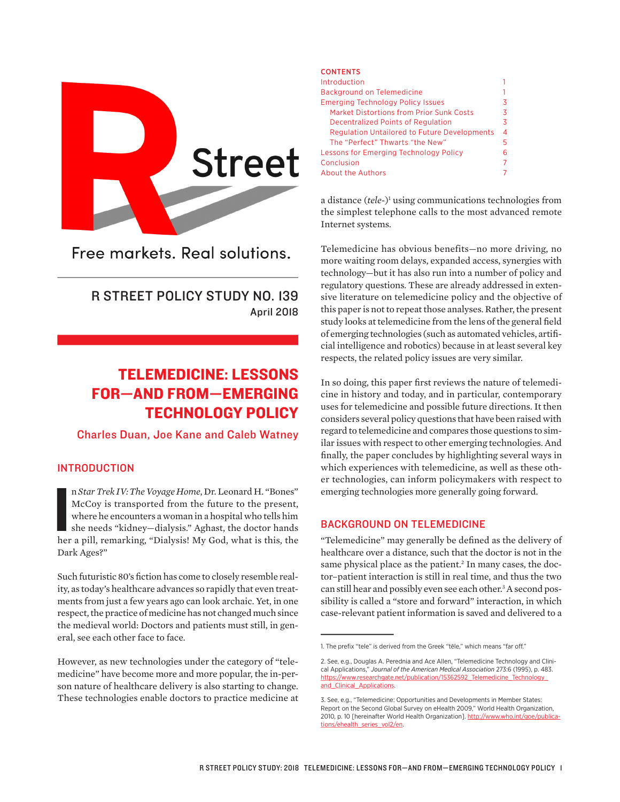

Free markets, Real solutions.

## R STREET POLICY STUDY NO. 139 April 2018

# TELEMEDICINE: LESSONS FOR—AND FROM—EMERGING TECHNOLOGY POLICY

## Charles Duan, Joe Kane and Caleb Watney

## INTRODUCTION

n Star Trek IV: The Voyage Home, Dr. Leonard H. "Bones" McCoy is transported from the future to the present, where he encounters a woman in a hospital who tells him she needs "kidney—dialysis." Aghast, the doctor hands her n *Star Trek IV: The Voyage Home*, Dr. Leonard H. "Bones" McCoy is transported from the future to the present, where he encounters a woman in a hospital who tells him she needs "kidney—dialysis." Aghast, the doctor hands Dark Ages?"

Such futuristic 80's fiction has come to closely resemble reality, as today's healthcare advances so rapidly that even treatments from just a few years ago can look archaic. Yet, in one respect, the practice of medicine has not changed much since the medieval world: Doctors and patients must still, in general, see each other face to face.

However, as new technologies under the category of "telemedicine" have become more and more popular, the in-person nature of healthcare delivery is also starting to change. These technologies enable doctors to practice medicine at

#### **CONTENTS**

| Introduction                                        |    |
|-----------------------------------------------------|----|
| <b>Background on Telemedicine</b>                   |    |
| <b>Emerging Technology Policy Issues</b>            | К  |
| Market Distortions from Prior Sunk Costs            | 3  |
| Decentralized Points of Regulation                  | 3  |
| <b>Regulation Untailored to Future Developments</b> | 4  |
| The "Perfect" Thwarts "the New"                     | 5. |
| Lessons for Emerging Technology Policy              | 6  |
| Conclusion                                          |    |
| <b>About the Authors</b>                            |    |

a distance (*tele*-)<sup>1</sup> using communications technologies from the simplest telephone calls to the most advanced remote Internet systems.

Telemedicine has obvious benefits—no more driving, no more waiting room delays, expanded access, synergies with technology—but it has also run into a number of policy and regulatory questions. These are already addressed in extensive literature on telemedicine policy and the objective of this paper is not to repeat those analyses. Rather, the present study looks at telemedicine from the lens of the general field of emerging technologies (such as automated vehicles, artificial intelligence and robotics) because in at least several key respects, the related policy issues are very similar.

In so doing, this paper first reviews the nature of telemedicine in history and today, and in particular, contemporary uses for telemedicine and possible future directions. It then considers several policy questions that have been raised with regard to telemedicine and compares those questions to similar issues with respect to other emerging technologies. And finally, the paper concludes by highlighting several ways in which experiences with telemedicine, as well as these other technologies, can inform policymakers with respect to emerging technologies more generally going forward.

## BACKGROUND ON TELEMEDICINE

"Telemedicine" may generally be defined as the delivery of healthcare over a distance, such that the doctor is not in the same physical place as the patient.<sup>2</sup> In many cases, the doctor–patient interaction is still in real time, and thus the two can still hear and possibly even see each other.<sup>3</sup> A second possibility is called a "store and forward" interaction, in which case-relevant patient information is saved and delivered to a

<sup>1.</sup> The prefix "tele" is derived from the Greek "tēle," which means "far of."

<sup>2.</sup> See, e.g., Douglas A. Perednia and Ace Allen, "Telemedicine Technology and Clinical Applications," *Journal of the American Medical Association* 273:6 (1995), p. 483. https://www.researchgate.net/publication/15362592\_Telemedicine\_Technology\_ and Clinical Applications.

<sup>3.</sup> See, e.g., "Telemedicine: Opportunities and Developments in Member States: Report on the Second Global Survey on eHealth 2009," World Health Organization, 2010, p. 10 [hereinafter World Health Organization]. http://www.who.int/goe/publications/ehealth\_series\_vol2/en.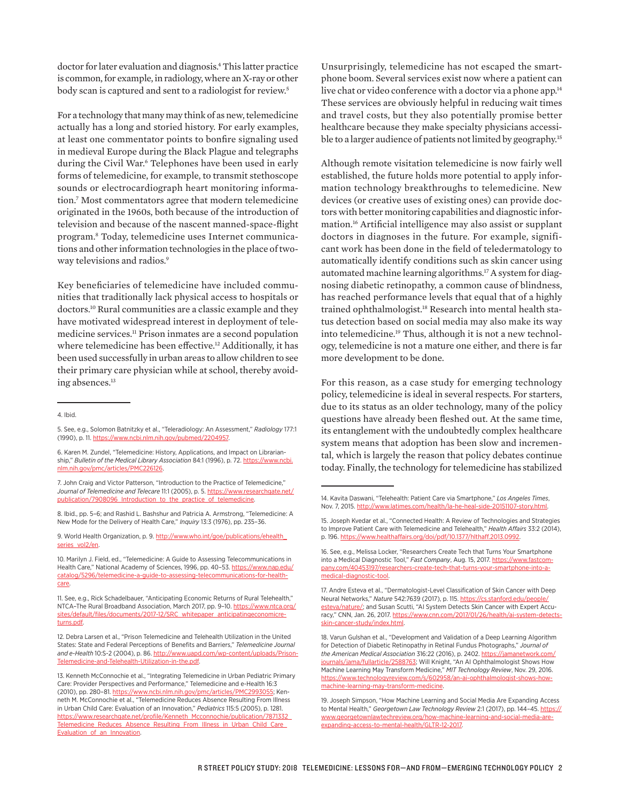doctor for later evaluation and diagnosis.4 This latter practice is common, for example, in radiology, where an X-ray or other body scan is captured and sent to a radiologist for review.<sup>5</sup>

For a technology that many may think of as new, telemedicine actually has a long and storied history. For early examples, at least one commentator points to bonfire signaling used in medieval Europe during the Black Plague and telegraphs during the Civil War.6 Telephones have been used in early forms of telemedicine, for example, to transmit stethoscope sounds or electrocardiograph heart monitoring information.7 Most commentators agree that modern telemedicine originated in the 1960s, both because of the introduction of television and because of the nascent manned-space-flight program.8 Today, telemedicine uses Internet communications and other information technologies in the place of twoway televisions and radios.<sup>9</sup>

Key beneficiaries of telemedicine have included communities that traditionally lack physical access to hospitals or doctors.10 Rural communities are a classic example and they have motivated widespread interest in deployment of telemedicine services.<sup>11</sup> Prison inmates are a second population where telemedicine has been effective.<sup>12</sup> Additionally, it has been used successfully in urban areas to allow children to see their primary care physician while at school, thereby avoiding absences.<sup>13</sup>

Unsurprisingly, telemedicine has not escaped the smartphone boom. Several services exist now where a patient can live chat or video conference with a doctor via a phone app.<sup>14</sup> These services are obviously helpful in reducing wait times and travel costs, but they also potentially promise better healthcare because they make specialty physicians accessible to a larger audience of patients not limited by geography.15

Although remote visitation telemedicine is now fairly well established, the future holds more potential to apply information technology breakthroughs to telemedicine. New devices (or creative uses of existing ones) can provide doctors with better monitoring capabilities and diagnostic information.16 Artificial intelligence may also assist or supplant doctors in diagnoses in the future. For example, significant work has been done in the field of teledermatology to automatically identify conditions such as skin cancer using automated machine learning algorithms.17 A system for diagnosing diabetic retinopathy, a common cause of blindness, has reached performance levels that equal that of a highly trained ophthalmologist.<sup>18</sup> Research into mental health status detection based on social media may also make its way into telemedicine.<sup>19</sup> Thus, although it is not a new technology, telemedicine is not a mature one either, and there is far more development to be done.

For this reason, as a case study for emerging technology policy, telemedicine is ideal in several respects. For starters, due to its status as an older technology, many of the policy questions have already been fleshed out. At the same time, its entanglement with the undoubtedly complex healthcare system means that adoption has been slow and incremental, which is largely the reason that policy debates continue today. Finally, the technology for telemedicine has stabilized

<sup>4.</sup> Ibid.

<sup>5.</sup> See, e.g., Solomon Batnitzky et al., "Teleradiology: An Assessment," *Radiology* 177:1 (1990), p. 11. https://www.ncbi.nlm.nih.gov/pubmed

<sup>6.</sup> Karen M. Zundel, "Telemedicine: History, Applications, and Impact on Librarianship," *Bulletin of the Medical Library Association* 84:1 (1996), p. 72. https://www.ncbi. nlm.nih.gov/pmc/articles/PMC226126.

<sup>7.</sup> John Craig and Victor Patterson, "Introduction to the Practice of Telemedicine," *Journal of Telemedicine and Telecare* 11:1 (2005), p. 5. https://www.researchgate.net/ publication/7908096\_Introduction\_to\_the\_practice\_of\_telemedicine.

<sup>8.</sup> Ibid., pp. 5–6; and Rashid L. Bashshur and Patricia A. Armstrong, "Telemedicine: A New Mode for the Delivery of Health Care," *Inquiry* 13:3 (1976), pp. 235–36.

<sup>9.</sup> World Health Organization, p. 9. http://www.who.int/goe/publications/ehealth\_ <u>series\_vol2/en</u>.

<sup>10.</sup> Marilyn J. Field, ed., "Telemedicine: A Guide to Assessing Telecommunications in Health Care," National Academy of Sciences, 1996, pp. 40–53. https://www.nap.edu/ catalog/5296/telemedicine-a-guide-to-assessing-telecommunications-for-healthcare.

<sup>11.</sup> See, e.g., Rick Schadelbauer, "Anticipating Economic Returns of Rural Telehealth," NTCA-The Rural Broadband Association, March 2017, pp. 9-10. https://www.ntca.org/ sites/default/files/documents/2017-12/SRC\_whitepaper\_anticipatingeconomicreturns.pdf.

<sup>12.</sup> Debra Larsen et al., "Prison Telemedicine and Telehealth Utilization in the United States: State and Federal Perceptions of Benefits and Barriers," *Telemedicine Journal and e-Health* 10:S-2 (2004), p. 86. http://www.uapd.com/wp-content/uploads/Prison-Telemedicine-and-Telehealth-Utilization-in-the ndf.

<sup>13.</sup> Kenneth McConnochie et al., "Integrating Telemedicine in Urban Pediatric Primary Care: Provider Perspectives and Performance," Telemedicine and e-Health 16:3 (2010), pp. 280–81. https://www.ncbi.nlm.nih.gov/pmc/articles/PMC2993055; Kenneth M. McConnochie et al., "Telemedicine Reduces Absence Resulting From Illness in Urban Child Care: Evaluation of an Innovation," *Pediatrics* 115:5 (2005), p. 1281. https://www.researchgate.net/profile/Kenneth\_Mcconnochie/publication/7871332\_ Telemedicine\_Reduces\_Absence\_Resulting\_From\_Illness\_in\_Urban\_Child\_Care\_ Evaluation of an Innovation.

<sup>14.</sup> Kavita Daswani, "Telehealth: Patient Care via Smartphone," *Los Angeles Times*, Nov. 7, 2015. http://www.latimes.com/health/la-he-heal-side-20151107-story.html.

<sup>15.</sup> Joseph Kvedar et al., "Connected Health: A Review of Technologies and Strategies to Improve Patient Care with Telemedicine and Telehealth," *Health Afairs* 33:2 (2014), p. 196. https://www.healthaffairs.org/doi/pdf/10.1377/hlthaff.2013.0992

<sup>16.</sup> See, e.g., Melissa Locker, "Researchers Create Tech that Turns Your Smartphone into a Medical Diagnostic Tool," *Fast Company*, Aug. 15, 2017. https://www.fastcompany.com/40453197/researchers-create-tech-that-turns-your-smartphone-into-amedical-diagnostic-tool.

<sup>17.</sup> Andre Esteva et al., "Dermatologist-Level Classification of Skin Cancer with Deep Neural Networks," *Nature* 542:7639 (2017), p. 115. https://cs.stanford.edu/people/ esteva/nature/; and Susan Scutti, "AI System Detects Skin Cancer with Expert Accuracy," CNN, Jan. 26, 2017. https://www.cnn.com/2017/01/26/health/ai-system-detectsskin-cancer-study/index.html.

<sup>18.</sup> Varun Gulshan et al., "Development and Validation of a Deep Learning Algorithm for Detection of Diabetic Retinopathy in Retinal Fundus Photographs," *Journal of the American Medical Association* 316:22 (2016), p. 2402. https://jamanetwork.com/ journals/jama/fullarticle/2588763; Will Knight, "An AI Ophthalmologist Shows How Machine Learning May Transform Medicine," *MIT Technology Review*, Nov. 29, 2016. https://www.technologyreview.com/s/602958/an-ai-ophthalmologist-shows-howmachine-learning-may-transform-medicine.

<sup>19.</sup> Joseph Simpson, "How Machine Learning and Social Media Are Expanding Access to Mental Health," *Georgetown Law Technology Review* 2:1 (2017), pp. 144–45. https:// www.georgetownlawtechreview.org/how-machine-learning-and-social-media-areexpanding-access-to-mental-health/GLTR-12-2017.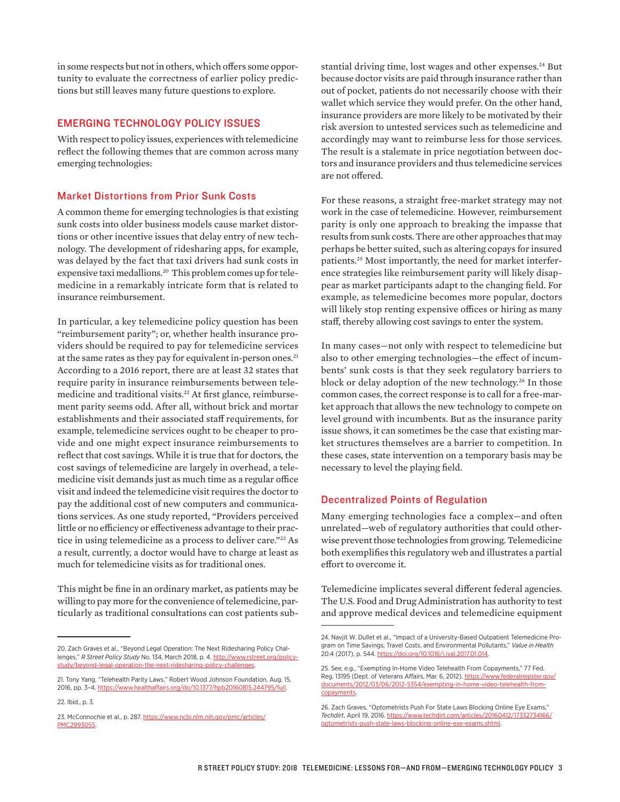in some respects but not in others, which offers some opportunity to evaluate the correctness of earlier policy predictions but still leaves many future questions to explore.

#### EMERGING TECHNOLOGY POLICY ISSUES

With respect to policy issues, experiences with telemedicine reflect the following themes that are common across many emerging technologies:

#### Market Distortions from Prior Sunk Costs

A common theme for emerging technologies is that existing sunk costs into older business models cause market distortions or other incentive issues that delay entry of new technology. The development of ridesharing apps, for example, was delayed by the fact that taxi drivers had sunk costs in expensive taxi medallions.<sup>20</sup> This problem comes up for telemedicine in a remarkably intricate form that is related to insurance reimbursement.

In particular, a key telemedicine policy question has been "reimbursement parity"; or, whether health insurance providers should be required to pay for telemedicine services at the same rates as they pay for equivalent in-person ones.<sup>21</sup> According to a 2016 report, there are at least 32 states that require parity in insurance reimbursements between telemedicine and traditional visits.<sup>22</sup> At first glance, reimbursement parity seems odd. After all, without brick and mortar establishments and their associated staff requirements, for example, telemedicine services ought to be cheaper to provide and one might expect insurance reimbursements to reflect that cost savings. While it is true that for doctors, the cost savings of telemedicine are largely in overhead, a telemedicine visit demands just as much time as a regular office visit and indeed the telemedicine visit requires the doctor to pay the additional cost of new computers and communications services. As one study reported, "Providers perceived little or no efficiency or effectiveness advantage to their practice in using telemedicine as a process to deliver care."23 As a result, currently, a doctor would have to charge at least as much for telemedicine visits as for traditional ones.

This might be fine in an ordinary market, as patients may be willing to pay more for the convenience of telemedicine, particularly as traditional consultations can cost patients sub-

stantial driving time, lost wages and other expenses.<sup>24</sup> But because doctor visits are paid through insurance rather than out of pocket, patients do not necessarily choose with their wallet which service they would prefer. On the other hand, insurance providers are more likely to be motivated by their risk aversion to untested services such as telemedicine and accordingly may want to reimburse less for those services. The result is a stalemate in price negotiation between doctors and insurance providers and thus telemedicine services are not ofered.

For these reasons, a straight free-market strategy may not work in the case of telemedicine. However, reimbursement parity is only one approach to breaking the impasse that results from sunk costs. There are other approaches that may perhaps be better suited, such as altering copays for insured patients.25 Most importantly, the need for market interference strategies like reimbursement parity will likely disappear as market participants adapt to the changing field. For example, as telemedicine becomes more popular, doctors will likely stop renting expensive offices or hiring as many staf, thereby allowing cost savings to enter the system.

In many cases—not only with respect to telemedicine but also to other emerging technologies—the efect of incumbents' sunk costs is that they seek regulatory barriers to block or delay adoption of the new technology.26 In those common cases, the correct response is to call for a free-market approach that allows the new technology to compete on level ground with incumbents. But as the insurance parity issue shows, it can sometimes be the case that existing market structures themselves are a barrier to competition. In these cases, state intervention on a temporary basis may be necessary to level the playing field.

#### Decentralized Points of Regulation

Many emerging technologies face a complex—and often unrelated—web of regulatory authorities that could otherwise prevent those technologies from growing. Telemedicine both exemplifies this regulatory web and illustrates a partial efort to overcome it.

Telemedicine implicates several diferent federal agencies. The U.S. Food and Drug Administration has authority to test and approve medical devices and telemedicine equipment

<sup>20.</sup> Zach Graves et al., "Beyond Legal Operation: The Next Ridesharing Policy Challenges," *R Street Policy Study No.* 134, March 2018, p. 4. http://www.rstreet.org/pol study/beyond-legal-operation-the-next-ridesharing-policy-challenges.

<sup>21.</sup> Tony Yang, "Telehealth Parity Laws," Robert Wood Johnson Foundation, Aug. 15, 2016, pp. 3–4. https://www.healthafairs.org/do/10.1377/hpb20160815.244795/full.

<sup>22.</sup> Ibid., p. 3.

<sup>23.</sup> McConnochie et al., p. 287. https://www.ncbi.nlm.nih.gov/pmc/articles/ PMC2993055.

<sup>24.</sup> Navjit W. Dullet et al., "Impact of a University-Based Outpatient Telemedicine Program on Time Savings, Travel Costs, and Environmental Pollutants," *Value in Health*  20:4 (2017), p. 544. https://doi.org/10.1016/j.jval.2017.01.014.

<sup>25.</sup> See, e.g., "Exempting In-Home Video Telehealth From Copayments," 77 Fed. Reg. 13195 (Dept. of Veterans Affairs, Mar. 6, 2012). https://www.federalregister.gov/ documents/2012/03/06/2012-5354/exempting-in-home-video-telehealth-fromcopayments.

<sup>26.</sup> Zach Graves, "Optometrists Push For State Laws Blocking Online Eye Exams," *Techdirt*, April 19, 2016. https://www.techdirt.com/articles/20160412/17332734166/ optometrists-push-state-laws-blocking-online-eye-exams.shtml.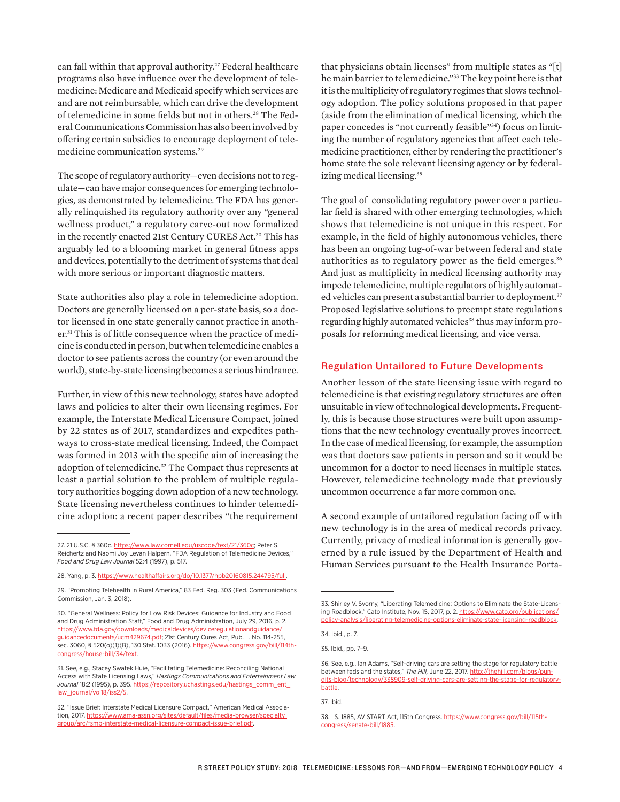can fall within that approval authority.<sup>27</sup> Federal healthcare programs also have influence over the development of telemedicine: Medicare and Medicaid specify which services are and are not reimbursable, which can drive the development of telemedicine in some fields but not in others.28 The Federal Communications Commission has also been involved by ofering certain subsidies to encourage deployment of telemedicine communication systems.29

The scope of regulatory authority—even decisions not to regulate—can have major consequences for emerging technologies, as demonstrated by telemedicine. The FDA has generally relinquished its regulatory authority over any "general wellness product," a regulatory carve-out now formalized in the recently enacted 21st Century CURES Act.30 This has arguably led to a blooming market in general fitness apps and devices, potentially to the detriment of systems that deal with more serious or important diagnostic matters.

State authorities also play a role in telemedicine adoption. Doctors are generally licensed on a per-state basis, so a doctor licensed in one state generally cannot practice in another.31 This is of little consequence when the practice of medicine is conducted in person, but when telemedicine enables a doctor to see patients across the country (or even around the world), state-by-state licensing becomes a serious hindrance.

Further, in view of this new technology, states have adopted laws and policies to alter their own licensing regimes. For example, the Interstate Medical Licensure Compact, joined by 22 states as of 2017, standardizes and expedites pathways to cross-state medical licensing. Indeed, the Compact was formed in 2013 with the specific aim of increasing the adoption of telemedicine.<sup>32</sup> The Compact thus represents at least a partial solution to the problem of multiple regulatory authorities bogging down adoption of a new technology. State licensing nevertheless continues to hinder telemedicine adoption: a recent paper describes "the requirement

that physicians obtain licenses" from multiple states as "[t] he main barrier to telemedicine."33 The key point here is that it is the multiplicity of regulatory regimes that slows technology adoption. The policy solutions proposed in that paper (aside from the elimination of medical licensing, which the paper concedes is "not currently feasible"<sup>34</sup>) focus on limiting the number of regulatory agencies that affect each telemedicine practitioner, either by rendering the practitioner's home state the sole relevant licensing agency or by federalizing medical licensing.<sup>35</sup>

The goal of consolidating regulatory power over a particular field is shared with other emerging technologies, which shows that telemedicine is not unique in this respect. For example, in the field of highly autonomous vehicles, there has been an ongoing tug-of-war between federal and state authorities as to regulatory power as the field emerges.<sup>36</sup> And just as multiplicity in medical licensing authority may impede telemedicine, multiple regulators of highly automated vehicles can present a substantial barrier to deployment.<sup>37</sup> Proposed legislative solutions to preempt state regulations regarding highly automated vehicles<sup>38</sup> thus may inform proposals for reforming medical licensing, and vice versa.

#### Regulation Untailored to Future Developments

Another lesson of the state licensing issue with regard to telemedicine is that existing regulatory structures are often unsuitable in view of technological developments. Frequently, this is because those structures were built upon assumptions that the new technology eventually proves incorrect. In the case of medical licensing, for example, the assumption was that doctors saw patients in person and so it would be uncommon for a doctor to need licenses in multiple states. However, telemedicine technology made that previously uncommon occurrence a far more common one.

A second example of untailored regulation facing of with new technology is in the area of medical records privacy. Currently, privacy of medical information is generally governed by a rule issued by the Department of Health and Human Services pursuant to the Health Insurance Porta-

<sup>27. 21</sup> U.S.C. § 360c. https://www.law.cornell.edu/uscode/text/21/360c; Peter S. Reichertz and Naomi Joy Levan Halpern, "FDA Regulation of Telemedicine Devices," *Food and Drug Law Journal* 52:4 (1997), p. 517.

<sup>28.</sup> Yang, p. 3. https://www.healthafairs.org/do/10.1377/hpb20160815.244795/full.

<sup>29. &</sup>quot;Promoting Telehealth in Rural America," 83 Fed. Reg. 303 (Fed. Communications Commission, Jan. 3, 2018).

<sup>30. &</sup>quot;General Wellness: Policy for Low Risk Devices: Guidance for Industry and Food and Drug Administration Staf," Food and Drug Administration, July 29, 2016, p. 2. https://www.fda.gov/downloads/medicaldevices/deviceregulationandguidance/ guidancedocuments/ucm429674.pdf; 21st Century Cures Act, Pub. L. No. 114-255, sec. 3060, § 520(o)(1)(B), 130 Stat. 1033 (2016). https://www.congress.gov/bill/114thcongress/house-bill/34/text.

<sup>31.</sup> See, e.g., Stacey Swatek Huie, "Facilitating Telemedicine: Reconciling National Access with State Licensing Laws," *Hastings Communications and Entertainment Law Journal* 18:2 (1995), p. 395. https://repository.uchastings.edu/hastings\_comm\_ent\_ law\_iournal/vol18/iss2/5.

<sup>32. &</sup>quot;Issue Brief: Interstate Medical Licensure Compact," American Medical Association, 2017. https://www.ama-assn.org/sites/default/files/media-browser/specialty group/arc/fsmb-interstate-medical-licensure-compact-issue-brief.pdf.

<sup>33.</sup> Shirley V. Svorny, "Liberating Telemedicine: Options to Eliminate the State-Licensing Roadblock," Cato Institute, Nov. 15, 2017, p. 2. https://www.cato.org/publications/ policy-analysis/liberating-telemedicine-options-eliminate-state-licensing-roadblock.

<sup>34.</sup> Ibid., p. 7.

<sup>35.</sup> Ibid., pp. 7–9.

<sup>36.</sup> See, e.g., Ian Adams, "Self-driving cars are setting the stage for regulatory battle between feds and the states," *The Hill,* June 22, 2017. http://thehill.com/blogs/pundits-blog/technology/338909-self-driving-cars-are-setting-the-stage-for-regulatorybattle.

<sup>37.</sup> Ibid.

<sup>38.</sup> S. 1885, AV START Act, 115th Congress. https://www.congress.gov/bill/115thcongress/senate-bill/1885.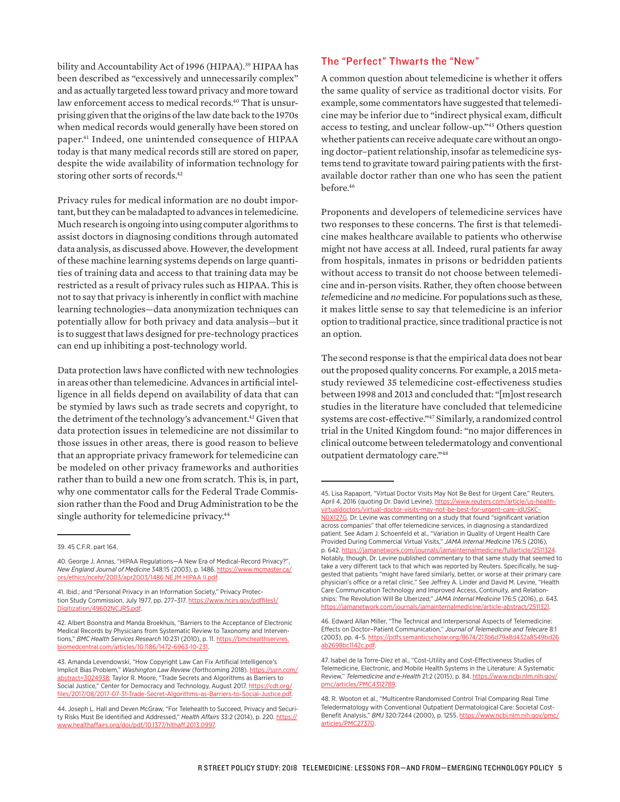bility and Accountability Act of 1996 (HIPAA).<sup>39</sup> HIPAA has been described as "excessively and unnecessarily complex" and as actually targeted less toward privacy and more toward law enforcement access to medical records.<sup>40</sup> That is unsurprising given that the origins of the law date back to the 1970s when medical records would generally have been stored on paper.41 Indeed, one unintended consequence of HIPAA today is that many medical records still are stored on paper, despite the wide availability of information technology for storing other sorts of records.<sup>42</sup>

Privacy rules for medical information are no doubt important, but they can be maladapted to advances in telemedicine. Much research is ongoing into using computer algorithms to assist doctors in diagnosing conditions through automated data analysis, as discussed above. However, the development of these machine learning systems depends on large quantities of training data and access to that training data may be restricted as a result of privacy rules such as HIPAA. This is not to say that privacy is inherently in conflict with machine learning technologies—data anonymization techniques can potentially allow for both privacy and data analysis—but it is to suggest that laws designed for pre-technology practices can end up inhibiting a post-technology world.

Data protection laws have conflicted with new technologies in areas other than telemedicine. Advances in artificial intelligence in all fields depend on availability of data that can be stymied by laws such as trade secrets and copyright, to the detriment of the technology's advancement.<sup>43</sup> Given that data protection issues in telemedicine are not dissimilar to those issues in other areas, there is good reason to believe that an appropriate privacy framework for telemedicine can be modeled on other privacy frameworks and authorities rather than to build a new one from scratch. This is, in part, why one commentator calls for the Federal Trade Commission rather than the Food and Drug Administration to be the single authority for telemedicine privacy.<sup>44</sup>

#### The "Perfect" Thwarts the "New"

A common question about telemedicine is whether it offers the same quality of service as traditional doctor visits. For example, some commentators have suggested that telemedicine may be inferior due to "indirect physical exam, difficult access to testing, and unclear follow-up."45 Others question whether patients can receive adequate care without an ongoing doctor–patient relationship, insofar as telemedicine systems tend to gravitate toward pairing patients with the firstavailable doctor rather than one who has seen the patient before.<sup>46</sup>

Proponents and developers of telemedicine services have two responses to these concerns. The first is that telemedicine makes healthcare available to patients who otherwise might not have access at all. Indeed, rural patients far away from hospitals, inmates in prisons or bedridden patients without access to transit do not choose between telemedicine and in-person visits. Rather, they often choose between *tele*medicine and *no* medicine. For populations such as these, it makes little sense to say that telemedicine is an inferior option to traditional practice, since traditional practice is not an option.

The second response is that the empirical data does not bear out the proposed quality concerns. For example, a 2015 metastudy reviewed 35 telemedicine cost-efectiveness studies between 1998 and 2013 and concluded that: "[m]ost research studies in the literature have concluded that telemedicine systems are cost-efective."47 Similarly, a randomized control trial in the United Kingdom found: "no major diferences in clinical outcome between teledermatology and conventional outpatient dermatology care."48

<sup>39. 45</sup> C.F.R. part 164.

<sup>40.</sup> George J. Annas, "HIPAA Regulations—A New Era of Medical-Record Privacy?", *New England Journal of Medicine* 348:15 (2003), p. 1486. https://www.mcmaster.ca/ ors/ethics/ncehr/2003/apr2003/1486 NEJM HIPAA II.pdf.

<sup>41.</sup> Ibid.; and "Personal Privacy in an Information Society," Privacy Protection Study Commission, July 1977, pp. 277-317. https://www.ncjrs.gov/pdffiles1/ Digitization/49602NCJRS.pdf.

<sup>42.</sup> Albert Boonstra and Manda Broekhuis, "Barriers to the Acceptance of Electronic Medical Records by Physicians from Systematic Review to Taxonomy and Interventions," *BMC Health Services Research* 10:231 (2010), p. 11. https://bmchealthservres. biomedcentral.com/articles/10.1186/1472-6963-10-231.

<sup>43.</sup> Amanda Levendowski, "How Copyright Law Can Fix Artificial Intelligence's Implicit Bias Problem," Washington Law Review (forthcoming 2018). https://ssrn.com/ abstract=3024938; Taylor R. Moore, "Trade Secrets and Algorithms as Barriers to Social Justice," Center for Democracy and Technology, August 2017. https://cdt.org/ files/2017/08/2017-07-31-Trade-Secret-Algorithms-as-Barriers-to-Social-Justice.pdf.

<sup>44.</sup> Joseph L. Hall and Deven McGraw, "For Telehealth to Succeed, Privacy and Security Risks Must Be Identified and Addressed," *Health Afairs* 33:2 (2014), p. 220. https:// www.healthaffairs.org/doi/pdf/10.1377/hlthaff.2013.0997.

<sup>45.</sup> Lisa Rapaport, "Virtual Doctor Visits May Not Be Best for Urgent Care," Reuters, April 4, 2016 (quoting Dr. David Levine). https://www.reuters.com/article/us-healthvirtualdoctors/virtual-doctor-visits-may-not-be-best-for-urgent-care-idUSKC-N0X127G. Dr. Levine was commenting on a study that found "significant variation across companies" that offer telemedicine services, in diagnosing a standardized patient. See Adam J. Schoenfeld et al., "Variation in Quality of Urgent Health Care Provided During Commercial Virtual Visits," *JAMA Internal Medicine* 176:5 (2016), p. 642. https://jamanetwork.com/journals/jamainternalmedicine/fullarticle/25113 Notably, though, Dr. Levine published commentary to that same study that seemed to take a very diferent tack to that which was reported by Reuters. Specifically, he suggested that patients "might have fared similarly, better, or worse at their primary care physician's office or a retail clinic." See Jeffrey A. Linder and David M. Levine, "Health Care Communication Technology and Improved Access, Continuity, and Relationships: The Revolution Will Be Uberized," *JAMA Internal Medicine* 176:5 (2016), p. 643. https://jamanetwork.com/journals/jamainternalmedicine/article-abstract/2511321.

<sup>46.</sup> Edward Allan Miller, "The Technical and Interpersonal Aspects of Telemedicine: Efects on Doctor–Patient Communication," *Journal of Telemedicine and Telecare* 8:1 (2003), pp. 4–5. https://pdfs.semanticscholar.org/8674/213b6d79a8d432a8549bd26 ab2698bc1142c.pdf.

<sup>47.</sup> Isabel de la Torre-Díez et al., "Cost-Utility and Cost-Efectiveness Studies of Telemedicine, Electronic, and Mobile Health Systems in the Literature: A Systematic Review," *Telemedicine and e-Health* 21:2 (2015), p. 84. https://www.ncbi.nlm.nih.gov/ pmc/articles/PMC4312789.

<sup>48.</sup> R. Wooton et al., "Multicentre Randomised Control Trial Comparing Real Time Teledermatology with Conventional Outpatient Dermatological Care: Societal Cost-Benefit Analysis," *BMJ* 320:7244 (2000), p. 1255. https://www.ncbi.nlm.nih.gov/pmc/ articles/PMC27370.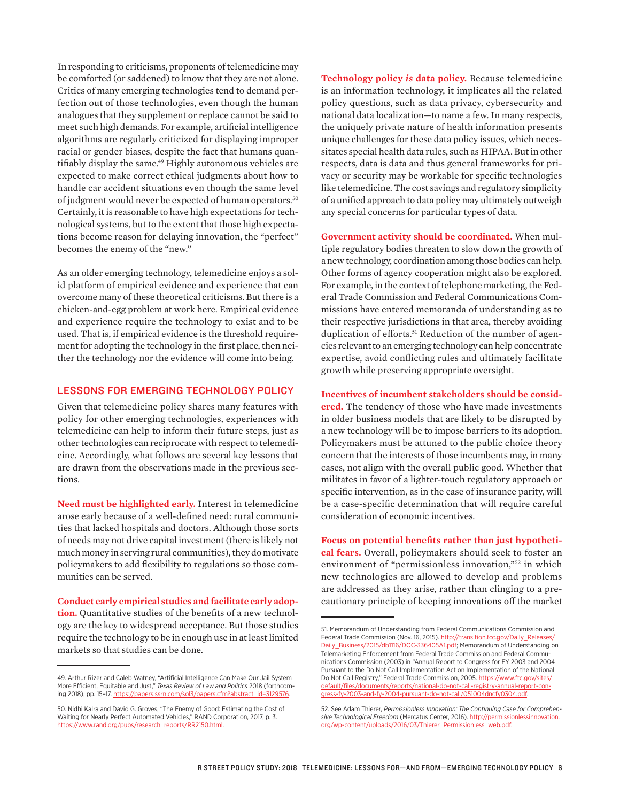In responding to criticisms, proponents of telemedicine may be comforted (or saddened) to know that they are not alone. Critics of many emerging technologies tend to demand perfection out of those technologies, even though the human analogues that they supplement or replace cannot be said to meet such high demands. For example, artificial intelligence algorithms are regularly criticized for displaying improper racial or gender biases, despite the fact that humans quantifiably display the same.<sup>49</sup> Highly autonomous vehicles are expected to make correct ethical judgments about how to handle car accident situations even though the same level of judgment would never be expected of human operators.50 Certainly, it is reasonable to have high expectations for technological systems, but to the extent that those high expectations become reason for delaying innovation, the "perfect" becomes the enemy of the "new."

As an older emerging technology, telemedicine enjoys a solid platform of empirical evidence and experience that can overcome many of these theoretical criticisms. But there is a chicken-and-egg problem at work here. Empirical evidence and experience require the technology to exist and to be used. That is, if empirical evidence is the threshold requirement for adopting the technology in the first place, then neither the technology nor the evidence will come into being.

#### LESSONS FOR EMERGING TECHNOLOGY POLICY

Given that telemedicine policy shares many features with policy for other emerging technologies, experiences with telemedicine can help to inform their future steps, just as other technologies can reciprocate with respect to telemedicine. Accordingly, what follows are several key lessons that are drawn from the observations made in the previous sections.

**Need must be highlighted early.** Interest in telemedicine arose early because of a well-defined need: rural communities that lacked hospitals and doctors. Although those sorts of needs may not drive capital investment (there is likely not much money in serving rural communities), they do motivate policymakers to add flexibility to regulations so those communities can be served.

**Conduct early empirical studies and facilitate early adoption.** Quantitative studies of the benefits of a new technology are the key to widespread acceptance. But those studies require the technology to be in enough use in at least limited markets so that studies can be done.

**Technology policy** *is* **data policy.** Because telemedicine is an information technology, it implicates all the related policy questions, such as data privacy, cybersecurity and national data localization—to name a few. In many respects, the uniquely private nature of health information presents unique challenges for these data policy issues, which necessitates special health data rules, such as HIPAA. But in other respects, data is data and thus general frameworks for privacy or security may be workable for specific technologies like telemedicine. The cost savings and regulatory simplicity of a unified approach to data policy may ultimately outweigh any special concerns for particular types of data.

**Government activity should be coordinated.** When multiple regulatory bodies threaten to slow down the growth of a new technology, coordination among those bodies can help. Other forms of agency cooperation might also be explored. For example, in the context of telephone marketing, the Federal Trade Commission and Federal Communications Commissions have entered memoranda of understanding as to their respective jurisdictions in that area, thereby avoiding duplication of efforts.<sup>51</sup> Reduction of the number of agencies relevant to an emerging technology can help concentrate expertise, avoid conflicting rules and ultimately facilitate growth while preserving appropriate oversight.

**Incentives of incumbent stakeholders should be considered.** The tendency of those who have made investments in older business models that are likely to be disrupted by a new technology will be to impose barriers to its adoption. Policymakers must be attuned to the public choice theory concern that the interests of those incumbents may, in many cases, not align with the overall public good. Whether that militates in favor of a lighter-touch regulatory approach or specific intervention, as in the case of insurance parity, will be a case-specific determination that will require careful consideration of economic incentives.

**Focus on potential benefits rather than just hypothetical fears.** Overall, policymakers should seek to foster an environment of "permissionless innovation,"52 in which new technologies are allowed to develop and problems are addressed as they arise, rather than clinging to a precautionary principle of keeping innovations off the market

<sup>49.</sup> Arthur Rizer and Caleb Watney, "Artificial Intelligence Can Make Our Jail System More Efficient, Equitable and Just," Texas Review of Law and Politics 2018 (forthcoming 2018), pp. 15-17. https://papers.ssrn.com/sol3/papers.cfm?abstract

<sup>50.</sup> Nidhi Kalra and David G. Groves, "The Enemy of Good: Estimating the Cost of Waiting for Nearly Perfect Automated Vehicles," RAND Corporation, 2017, p. 3. https://www.rand.org/pubs/research\_reports/RR2150.html.

<sup>51.</sup> Memorandum of Understanding from Federal Communications Commission and Federal Trade Commission (Nov. 16, 2015). http://transition.fcc.gov/Daily\_Releases, Daily\_Business/2015/db1116/DOC-336405A1.pdf; Memorandum of Understanding on Telemarketing Enforcement from Federal Trade Commission and Federal Communications Commission (2003) in "Annual Report to Congress for FY 2003 and 2004 Pursuant to the Do Not Call Implementation Act on Implementation of the National Do Not Call Registry," Federal Trade Commission, 2005. https://www.ftc.gov/sites/ default/files/documents/reports/national-do-not-call-registry-annual-report-congress-fy-2003-and-fy-2004-pursuant-do-not-call/051004dncfy0304.pdf.

<sup>52.</sup> See Adam Thierer, *Permissionless Innovation: The Continuing Case for Comprehensive Technological Freedom* (Mercatus Center, 2016). http://permissionlessinnovation. org/wp-content/uploads/2016/03/Thierer\_Permissionless\_web.pdf.